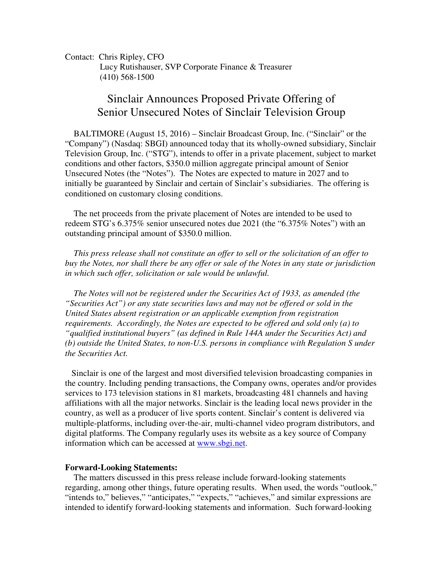Contact: Chris Ripley, CFO Lucy Rutishauser, SVP Corporate Finance & Treasurer (410) 568-1500

## Sinclair Announces Proposed Private Offering of Senior Unsecured Notes of Sinclair Television Group

BALTIMORE (August 15, 2016) – Sinclair Broadcast Group, Inc. ("Sinclair" or the "Company") (Nasdaq: SBGI) announced today that its wholly-owned subsidiary, Sinclair Television Group, Inc. ("STG"), intends to offer in a private placement, subject to market conditions and other factors, \$350.0 million aggregate principal amount of Senior Unsecured Notes (the "Notes"). The Notes are expected to mature in 2027 and to initially be guaranteed by Sinclair and certain of Sinclair's subsidiaries. The offering is conditioned on customary closing conditions.

 The net proceeds from the private placement of Notes are intended to be used to redeem STG's 6.375% senior unsecured notes due 2021 (the "6.375% Notes") with an outstanding principal amount of \$350.0 million.

 *This press release shall not constitute an offer to sell or the solicitation of an offer to buy the Notes, nor shall there be any offer or sale of the Notes in any state or jurisdiction in which such offer, solicitation or sale would be unlawful.* 

 *The Notes will not be registered under the Securities Act of 1933, as amended (the "Securities Act") or any state securities laws and may not be offered or sold in the United States absent registration or an applicable exemption from registration requirements. Accordingly, the Notes are expected to be offered and sold only (a) to "qualified institutional buyers" (as defined in Rule 144A under the Securities Act) and (b) outside the United States, to non-U.S. persons in compliance with Regulation S under the Securities Act.* 

 Sinclair is one of the largest and most diversified television broadcasting companies in the country. Including pending transactions, the Company owns, operates and/or provides services to 173 television stations in 81 markets, broadcasting 481 channels and having affiliations with all the major networks. Sinclair is the leading local news provider in the country, as well as a producer of live sports content. Sinclair's content is delivered via multiple-platforms, including over-the-air, multi-channel video program distributors, and digital platforms. The Company regularly uses its website as a key source of Company information which can be accessed at www.sbgi.net.

## **Forward-Looking Statements:**

 The matters discussed in this press release include forward-looking statements regarding, among other things, future operating results. When used, the words "outlook," "intends to," believes," "anticipates," "expects," "achieves," and similar expressions are intended to identify forward-looking statements and information. Such forward-looking